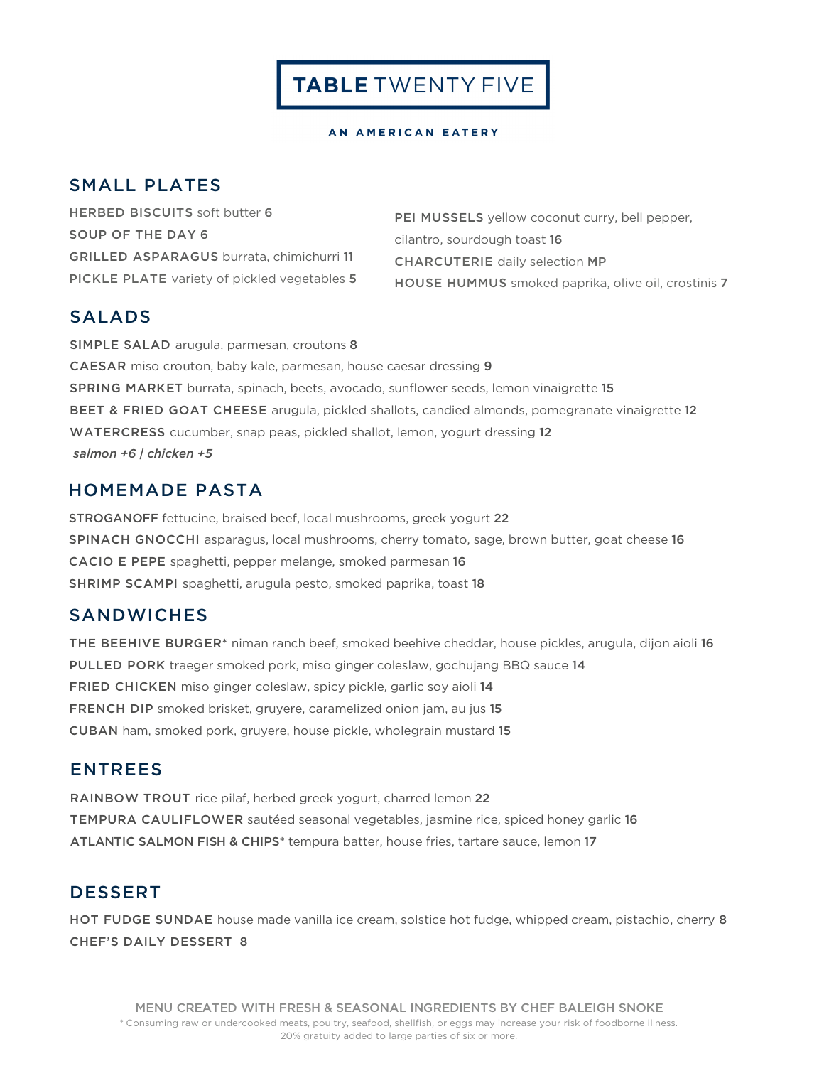#### AN AMERICAN EATERY

### SMALL PLATES

HERBED BISCUITS soft butter 6 SOUP OF THE DAY 6 GRILLED ASPARAGUS burrata, chimichurri 11 PICKLE PLATE variety of pickled vegetables 5

PEI MUSSELS yellow coconut curry, bell pepper, cilantro, sourdough toast 16 CHARCUTERIE daily selection MP HOUSE HUMMUS smoked paprika, olive oil, crostinis 7

# SALADS

SIMPLE SALAD arugula, parmesan, croutons 8 CAESAR miso crouton, baby kale, parmesan, house caesar dressing 9 SPRING MARKET burrata, spinach, beets, avocado, sunflower seeds, lemon vinaigrette 15 BEET & FRIED GOAT CHEESE arugula, pickled shallots, candied almonds, pomegranate vinaigrette 12 WATERCRESS cucumber, snap peas, pickled shallot, lemon, yogurt dressing 12 *salmon +6 | chicken +5*

### HOMEMADE PASTA

STROGANOFF fettucine, braised beef, local mushrooms, greek yogurt 22 SPINACH GNOCCHI asparagus, local mushrooms, cherry tomato, sage, brown butter, goat cheese 16 CACIO E PEPE spaghetti, pepper melange, smoked parmesan 16 SHRIMP SCAMPI spaghetti, arugula pesto, smoked paprika, toast 18

### **SANDWICHES**

THE BEEHIVE BURGER\* niman ranch beef, smoked beehive cheddar, house pickles, arugula, dijon aioli 16 PULLED PORK traeger smoked pork, miso ginger coleslaw, gochujang BBQ sauce 14 FRIED CHICKEN miso ginger coleslaw, spicy pickle, garlic soy aioli 14 FRENCH DIP smoked brisket, gruyere, caramelized onion jam, au jus 15 CUBAN ham, smoked pork, gruyere, house pickle, wholegrain mustard 15

### ENTREES

RAINBOW TROUT rice pilaf, herbed greek yogurt, charred lemon 22 TEMPURA CAULIFLOWER sautéed seasonal vegetables, jasmine rice, spiced honey garlic 16 ATLANTIC SALMON FISH & CHIPS\* tempura batter, house fries, tartare sauce, lemon 17

# DESSERT

HOT FUDGE SUNDAE house made vanilla ice cream, solstice hot fudge, whipped cream, pistachio, cherry 8 CHEF'S DAILY DESSERT 8